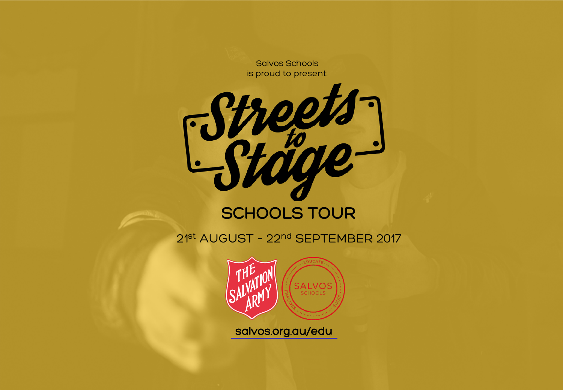**Salvos Schools** is proud to present:



2<sup>1st</sup> AUGUST - 22<sup>nd</sup> SEPTEMBER 2017



salvos.org.au/edu